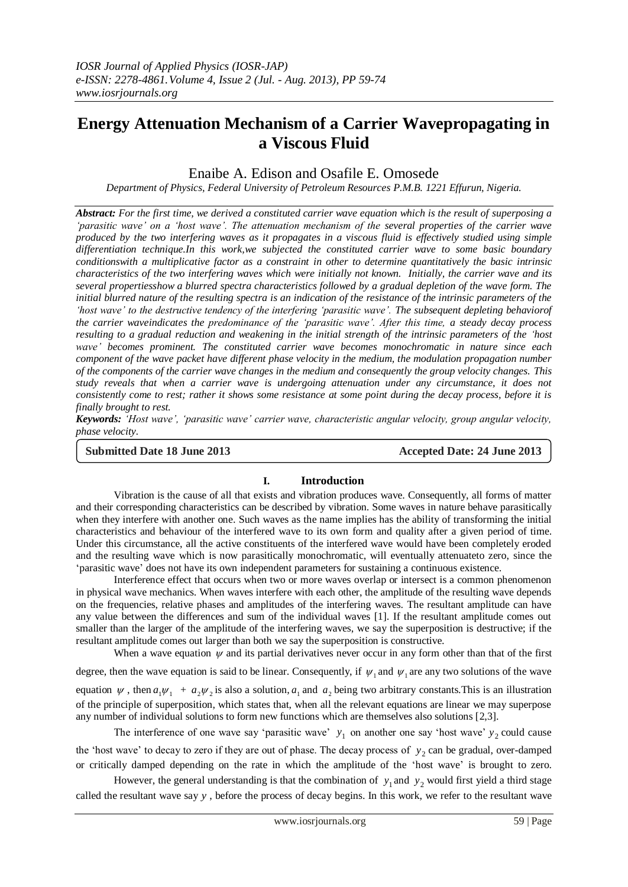# **Energy Attenuation Mechanism of a Carrier Wavepropagating in a Viscous Fluid**

# Enaibe A. Edison and Osafile E. Omosede

*Department of Physics, Federal University of Petroleum Resources P.M.B. 1221 Effurun, Nigeria.*

*Abstract: For the first time, we derived a constituted carrier wave equation which is the result of superposing a 'parasitic wave' on a 'host wave'. The attenuation mechanism of the several properties of the carrier wave produced by the two interfering waves as it propagates in a viscous fluid is effectively studied using simple differentiation technique.In this work,we subjected the constituted carrier wave to some basic boundary conditionswith a multiplicative factor as a constraint in other to determine quantitatively the basic intrinsic characteristics of the two interfering waves which were initially not known. Initially, the carrier wave and its several propertiesshow a blurred spectra characteristics followed by a gradual depletion of the wave form. The initial blurred nature of the resulting spectra is an indication of the resistance of the intrinsic parameters of the 'host wave' to the destructive tendency of the interfering 'parasitic wave'. The subsequent depleting behaviorof the carrier waveindicates the predominance of the 'parasitic wave'. After this time, a steady decay process resulting to a gradual reduction and weakening in the initial strength of the intrinsic parameters of the 'host wave' becomes prominent. The constituted carrier wave becomes monochromatic in nature since each component of the wave packet have different phase velocity in the medium, the modulation propagation number of the components of the carrier wave changes in the medium and consequently the group velocity changes. This study reveals that when a carrier wave is undergoing attenuation under any circumstance, it does not consistently come to rest; rather it shows some resistance at some point during the decay process, before it is finally brought to rest.*

*Keywords: 'Host wave', 'parasitic wave' carrier wave, characteristic angular velocity, group angular velocity, phase velocity.* 

**Submitted Date 18 June 2013 Accepted Date: 24 June 2013**

## **I. Introduction**

Vibration is the cause of all that exists and vibration produces wave. Consequently, all forms of matter and their corresponding characteristics can be described by vibration. Some waves in nature behave parasitically when they interfere with another one. Such waves as the name implies has the ability of transforming the initial characteristics and behaviour of the interfered wave to its own form and quality after a given period of time. Under this circumstance, all the active constituents of the interfered wave would have been completely eroded and the resulting wave which is now parasitically monochromatic, will eventually attenuateto zero, since the 'parasitic wave' does not have its own independent parameters for sustaining a continuous existence.

Interference effect that occurs when two or more waves overlap or intersect is a common phenomenon in physical wave mechanics. When waves interfere with each other, the amplitude of the resulting wave depends on the frequencies, relative phases and amplitudes of the interfering waves. The resultant amplitude can have any value between the differences and sum of the individual waves [1]. If the resultant amplitude comes out smaller than the larger of the amplitude of the interfering waves, we say the superposition is destructive; if the resultant amplitude comes out larger than both we say the superposition is constructive.

When a wave equation  $\psi$  and its partial derivatives never occur in any form other than that of the first

degree, then the wave equation is said to be linear. Consequently, if  $\psi_1$  and  $\psi_1$  are any two solutions of the wave equation  $\psi$ , then  $a_1\psi_1 + a_2\psi_2$  is also a solution,  $a_1$  and  $a_2$  being two arbitrary constants. This is an illustration of the principle of superposition, which states that, when all the relevant equations are linear we may superpose any number of individual solutions to form new functions which are themselves also solutions [2,3].

The interference of one wave say 'parasitic wave'  $y_1$  on another one say 'host wave'  $y_2$  could cause the 'host wave' to decay to zero if they are out of phase. The decay process of  $y_2$  can be gradual, over-damped or critically damped depending on the rate in which the amplitude of the 'host wave' is brought to zero.

However, the general understanding is that the combination of  $y_1$  and  $y_2$  would first yield a third stage called the resultant wave say *y* , before the process of decay begins. In this work, we refer to the resultant wave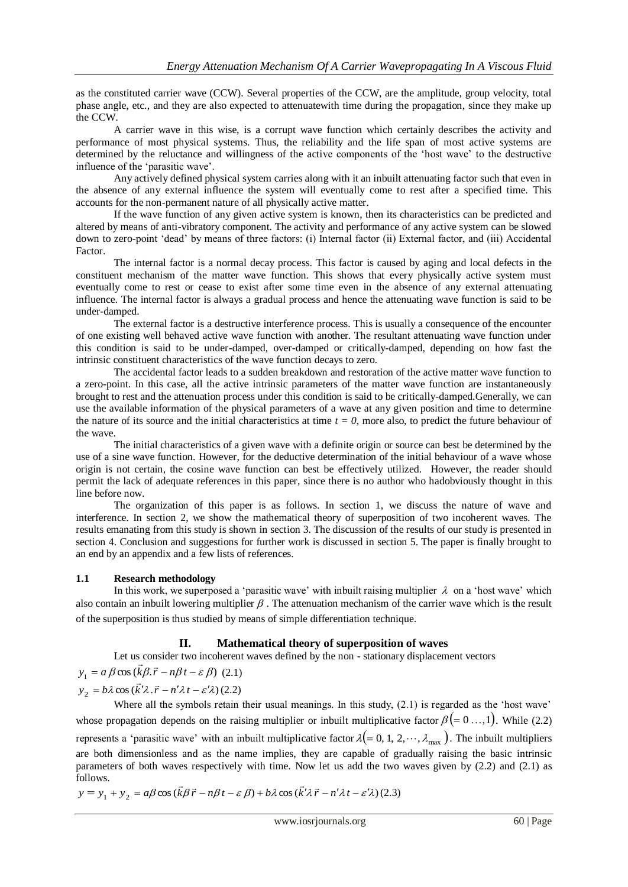as the constituted carrier wave (CCW). Several properties of the CCW, are the amplitude, group velocity, total phase angle, etc., and they are also expected to attenuatewith time during the propagation, since they make up the CCW.

A carrier wave in this wise, is a corrupt wave function which certainly describes the activity and performance of most physical systems. Thus, the reliability and the life span of most active systems are determined by the reluctance and willingness of the active components of the 'host wave' to the destructive influence of the 'parasitic wave'.

Any actively defined physical system carries along with it an inbuilt attenuating factor such that even in the absence of any external influence the system will eventually come to rest after a specified time. This accounts for the non-permanent nature of all physically active matter.

If the wave function of any given active system is known, then its characteristics can be predicted and altered by means of anti-vibratory component. The activity and performance of any active system can be slowed down to zero-point 'dead' by means of three factors: (i) Internal factor (ii) External factor, and (iii) Accidental Factor.

The internal factor is a normal decay process. This factor is caused by aging and local defects in the constituent mechanism of the matter wave function. This shows that every physically active system must eventually come to rest or cease to exist after some time even in the absence of any external attenuating influence. The internal factor is always a gradual process and hence the attenuating wave function is said to be under-damped.

The external factor is a destructive interference process. This is usually a consequence of the encounter of one existing well behaved active wave function with another. The resultant attenuating wave function under this condition is said to be under-damped, over-damped or critically-damped, depending on how fast the intrinsic constituent characteristics of the wave function decays to zero.

The accidental factor leads to a sudden breakdown and restoration of the active matter wave function to a zero-point. In this case, all the active intrinsic parameters of the matter wave function are instantaneously brought to rest and the attenuation process under this condition is said to be critically-damped.Generally, we can use the available information of the physical parameters of a wave at any given position and time to determine the nature of its source and the initial characteristics at time  $t = 0$ , more also, to predict the future behaviour of the wave.

The initial characteristics of a given wave with a definite origin or source can best be determined by the use of a sine wave function. However, for the deductive determination of the initial behaviour of a wave whose origin is not certain, the cosine wave function can best be effectively utilized. However, the reader should permit the lack of adequate references in this paper, since there is no author who hadobviously thought in this line before now.

The organization of this paper is as follows. In section 1, we discuss the nature of wave and interference. In section 2, we show the mathematical theory of superposition of two incoherent waves. The results emanating from this study is shown in section 3. The discussion of the results of our study is presented in section 4. Conclusion and suggestions for further work is discussed in section 5. The paper is finally brought to an end by an appendix and a few lists of references.

#### **1.1 Research methodology**

In this work, we superposed a 'parasitic wave' with inbuilt raising multiplier  $\lambda$  on a 'host wave' which also contain an inbuilt lowering multiplier  $\beta$ . The attenuation mechanism of the carrier wave which is the result of the superposition is thus studied by means of simple differentiation technique.

## **II. Mathematical theory of superposition of waves**

Let us consider two incoherent waves defined by the non - stationary displacement vectors

 $y_1 = a \beta \cos(\vec{k}\beta \cdot \vec{r} - n\beta t - \varepsilon \beta)$ (2.1)

 $y_2 = b\lambda \cos(\vec{k}\lambda \cdot \vec{r} - n'\lambda t - \varepsilon'\lambda)$ (2.2)

Where all the symbols retain their usual meanings. In this study, (2.1) is regarded as the 'host wave' whose propagation depends on the raising multiplier or inbuilt multiplicative factor  $\beta (= 0 \dots, 1)$ . While (2.2) represents a 'parasitic wave' with an inbuilt multiplicative factor  $\lambda (= 0, 1, 2, \dots, \lambda_{\max})$ . The inbuilt multipliers are both dimensionless and as the name implies, they are capable of gradually raising the basic intrinsic parameters of both waves respectively with time. Now let us add the two waves given by (2.2) and (2.1) as follows.  $\overline{a}$  $\rightarrow$ 

$$
y = y_1 + y_2 = a\beta \cos(\vec{k}\beta \vec{r} - n\beta t - \varepsilon \beta) + b\lambda \cos(\vec{k}\lambda \vec{r} - n\lambda t - \varepsilon \lambda)
$$
 (2.3)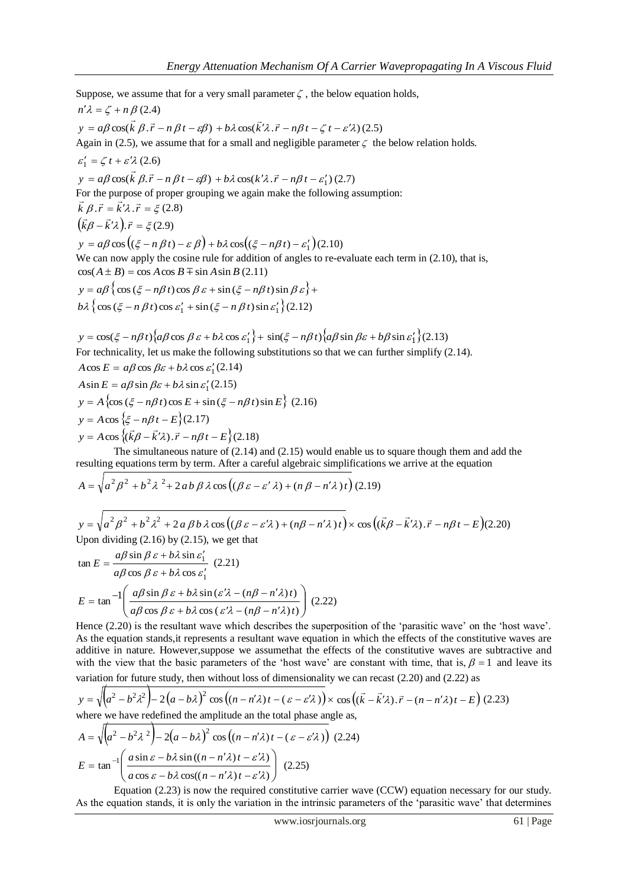Suppose, we assume that for a very small parameter  $\zeta$ , the below equation holds,  $n'\lambda = \zeta + n\beta$  (2.4)  $y = a\beta \cos(\vec{k} \beta \cdot \vec{r} - n\beta t - \varepsilon\beta)$  $b\lambda \cos(\vec{k}'\lambda \cdot \vec{r} - n\beta t - \zeta t - \varepsilon'\lambda)$ (2.5) Again in (2.5), we assume that for a small and negligible parameter  $\zeta$  the below relation holds.  $\varepsilon_1' = \zeta t + \varepsilon' \lambda (2.6)$  $y = a\beta \cos(\vec{k} \beta \cdot \vec{r} - n\beta t - \varepsilon\beta)$ +  $b\lambda \cos(k'\lambda \cdot \vec{r} - n\beta t - \varepsilon_1')$  (2.7) For the purpose of proper grouping we again make the following assumption:  $\vec{k} \beta \cdot \vec{r} = \vec{k}' \lambda \cdot \vec{r} = \xi (2.8)$  $(\vec{k}\beta - \vec{k}'\lambda).\vec{r} = \xi$  $.\vec{r} = \xi(2.9)$  $y = a\beta \cos((\xi - n\beta t) - \varepsilon \beta) + b\lambda \cos((\xi - n\beta t) - \varepsilon_1')(2.10)$ We can now apply the cosine rule for addition of angles to re-evaluate each term in  $(2.10)$ , that is,  $cos(A \pm B) = cos A cos B \mp sin A sin B (2.11)$  $y = a\beta \left\{ \cos(\xi - n\beta t) \cos \beta \varepsilon + \sin(\xi - n\beta t) \sin \beta \varepsilon \right\} +$  $b\lambda \left\{ \cos(\xi - n\beta t) \cos \varepsilon_1' + \sin(\xi - n\beta t) \sin \varepsilon_1' \right\}$  (2.12)  $y = \cos(\xi - n\beta t) \left\{ a\beta \cos \beta \varepsilon + b\lambda \cos \varepsilon_1' \right\} + \sin(\xi - n\beta t) \left\{ a\beta \sin \beta \varepsilon + b\beta \sin \varepsilon_1' \right\} (2.13)$ For technicality, let us make the following substitutions so that we can further simplify (2.14).  $A \cos E = a\beta \cos \beta \varepsilon + b\lambda \cos \varepsilon_1'$  (2.14)

 $A \sin E = a\beta \sin \beta \varepsilon + b\lambda \sin \varepsilon_1'$  (2.15)  $y = A \left\{ \cos \left( \xi - n\beta t \right) \cos E + \sin \left( \xi - n\beta t \right) \sin E \right\}$  (2.16)  $y = A \cos \{ \xi - n\beta t - E \} (2.17)$  $y = A \cos \left\{ \left( \vec{k} \beta - \vec{k'} \lambda \right) . \vec{r} - n \beta t - E \right\}$  $\cos\left\{\left(\frac{\bar{k}}{\beta}-\frac{\bar{k}}{\lambda}\right).\vec{r}-n\beta t-\frac{E}{\alpha}\right\}$  (2.18)

The simultaneous nature of (2.14) and (2.15) would enable us to square though them and add the resulting equations term by term. After a careful algebraic simplifications we arrive at the equation

$$
A = \sqrt{a^2 \beta^2 + b^2 \lambda^2 + 2ab \beta \lambda \cos ((\beta \varepsilon - \varepsilon' \lambda) + (n \beta - n' \lambda)t)} (2.19)
$$

 $y = \sqrt{a^2 \beta^2 + b^2 \lambda^2 + 2a \beta b \lambda \cos((\beta \varepsilon - \varepsilon' \lambda) + (n\beta - n' \lambda)t)} \times \cos((\vec{k} \beta - \vec{k}' \lambda).\vec{r} - n\beta t - E)$  $\cos\left((k\beta - k'\lambda).\vec{r} - n\beta t - E\right) (2.20)$ Upon dividing (2.16) by (2.15), we get that

$$
\tan E = \frac{a\beta \sin \beta \varepsilon + b\lambda \sin \varepsilon'_1}{a\beta \cos \beta \varepsilon + b\lambda \cos \varepsilon'_1}
$$
 (2.21)  

$$
E = \tan^{-1} \left( \frac{a\beta \sin \beta \varepsilon + b\lambda \sin (\varepsilon' \lambda - (n\beta - n'\lambda)t)}{a\beta \cos \beta \varepsilon + b\lambda \cos (\varepsilon' \lambda - (n\beta - n'\lambda)t)} \right)
$$
 (2.22)

Hence  $(2.20)$  is the resultant wave which describes the superposition of the 'parasitic wave' on the 'host wave'. As the equation stands,it represents a resultant wave equation in which the effects of the constitutive waves are additive in nature. However,suppose we assumethat the effects of the constitutive waves are subtractive and with the view that the basic parameters of the 'host wave' are constant with time, that is,  $\beta = 1$  and leave its variation for future study, then without loss of dimensionality we can recast (2.20) and (2.22) as

$$
y = \sqrt{(a^2 - b^2 \lambda^2) - 2(a - b\lambda)^2 \cos ((n - n'\lambda)t - (\varepsilon - \varepsilon'\lambda))} \times \cos ((\vec{k} - \vec{k}'\lambda). \vec{r} - (n - n'\lambda)t - E) (2.23)
$$
  
where we have redefined the amplitude an the total phase angle as,  

$$
A = \sqrt{(a^2 - b^2 \lambda^2) - 2(a - b\lambda)^2 \cos ((n - n'\lambda)t - (\varepsilon - \varepsilon'\lambda))} (2.24)
$$

$$
E = \tan^{-1} \left( \frac{a \sin \varepsilon - b\lambda \sin ((n - n'\lambda)t - \varepsilon'\lambda)}{a \cos \varepsilon - b\lambda \cos ((n - n'\lambda)t - \varepsilon'\lambda)} \right) (2.25)
$$

Equation (2.23) is now the required constitutive carrier wave (CCW) equation necessary for our study. As the equation stands, it is only the variation in the intrinsic parameters of the 'parasitic wave' that determines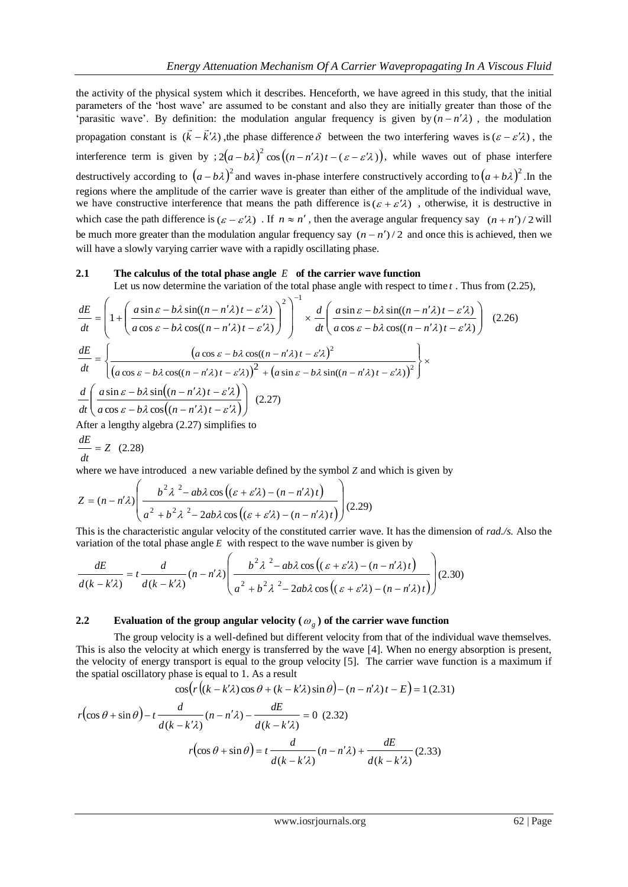the activity of the physical system which it describes. Henceforth, we have agreed in this study, that the initial parameters of the 'host wave' are assumed to be constant and also they are initially greater than those of the 'parasitic wave'. By definition: the modulation angular frequency is given by  $(n - n'\lambda)$ , the modulation propagation constant is  $(k - k'\lambda)$  $\rightarrow$   $\rightarrow$  $-k'\lambda$ , the phase difference  $\delta$  between the two interfering waves is  $(\varepsilon - \varepsilon'\lambda)$ , the interference term is given by  $2(a-b\lambda)^2 \cos((n-n'\lambda)t-(\varepsilon-\varepsilon'\lambda))$ , while waves out of phase interfere destructively according to  $(a - b\lambda)^2$  and waves in-phase interfere constructively according to  $(a + b\lambda)^2$ . In the regions where the amplitude of the carrier wave is greater than either of the amplitude of the individual wave, we have constructive interference that means the path difference is  $(\varepsilon + \varepsilon' \lambda)$ , otherwise, it is destructive in which case the path difference is  $(\varepsilon - \varepsilon' \lambda)$ . If  $n \approx n'$ , then the average angular frequency say  $(n + n')/2$  will be much more greater than the modulation angular frequency say  $(n - n')/2$  and once this is achieved, then we will have a slowly varying carrier wave with a rapidly oscillating phase.

#### **2.1 The calculus of the total phase angle**  *E* **of the carrier wave function**

Let us now determine the variation of the total phase angle with respect to time *t* . Thus from (2.25),

$$
\frac{dE}{dt} = \left(1 + \left(\frac{a\sin \varepsilon - b\lambda\sin((n - n'\lambda)t - \varepsilon'\lambda)}{a\cos \varepsilon - b\lambda\cos((n - n'\lambda)t - \varepsilon'\lambda)}\right)^2\right)^{-1} \times \frac{d}{dt} \left(\frac{a\sin \varepsilon - b\lambda\sin((n - n'\lambda)t - \varepsilon'\lambda)}{a\cos \varepsilon - b\lambda\cos((n - n'\lambda)t - \varepsilon'\lambda)}\right)
$$
(2.26)  

$$
\frac{dE}{dt} = \left\{\frac{\left(a\cos \varepsilon - b\lambda\cos((n - n'\lambda)t - \varepsilon'\lambda)^2\right)}{\left(a\cos \varepsilon - b\lambda\cos((n - n'\lambda)t - \varepsilon'\lambda)\right)^2 + \left(a\sin \varepsilon - b\lambda\sin((n - n'\lambda)t - \varepsilon'\lambda)\right)^2}\right\} \times \frac{d}{dt} \left(\frac{a\sin \varepsilon - b\lambda\sin((n - n'\lambda)t - \varepsilon'\lambda)}{a\cos \varepsilon - b\lambda\cos((n - n'\lambda)t - \varepsilon'\lambda)}\right)
$$
(2.27)  
After a lengthy algebra (2.27) simplifies to

$$
\frac{dE}{dt} = Z \quad (2.28)
$$

where we have introduced a new variable defined by the symbol *Z* and which is given by

$$
Z = (n - n'\lambda) \left( \frac{b^2 \lambda^2 - ab\lambda \cos\left( (\varepsilon + \varepsilon'\lambda) - (n - n'\lambda)t \right)}{a^2 + b^2 \lambda^2 - 2ab\lambda \cos\left( (\varepsilon + \varepsilon'\lambda) - (n - n'\lambda)t \right)} \right) (2.29)
$$

This is the characteristic angular velocity of the constituted carrier wave. It has the dimension of *rad./s.* Also the variation of the total phase angle  $E$  with respect to the wave number is given by

$$
\frac{dE}{d(k - k'\lambda)} = t \frac{d}{d(k - k'\lambda)} (n - n'\lambda) \left( \frac{b^2 \lambda^2 - ab\lambda \cos\left( (\varepsilon + \varepsilon'\lambda) - (n - n'\lambda)t \right)}{a^2 + b^2 \lambda^2 - 2ab\lambda \cos\left( (\varepsilon + \varepsilon'\lambda) - (n - n'\lambda)t \right)} \right) (2.30)
$$

# **2.2** Evaluation of the group angular velocity ( $\omega_g$ ) of the carrier wave function

The group velocity is a well-defined but different velocity from that of the individual wave themselves. This is also the velocity at which energy is transferred by the wave [4]. When no energy absorption is present, the velocity of energy transport is equal to the group velocity [5]. The carrier wave function is a maximum if the spatial oscillatory phase is equal to 1. As a result

$$
\cos(r((k - k'\lambda)\cos\theta + (k - k'\lambda)\sin\theta) - (n - n'\lambda)t - E) = 1 (2.31)
$$

$$
r(\cos\theta + \sin\theta) - t \frac{d}{d(k - k'\lambda)}(n - n'\lambda) - \frac{dE}{d(k - k'\lambda)} = 0 (2.32)
$$

$$
r(\cos\theta + \sin\theta) = t \frac{d}{d(k - k'\lambda)}(n - n'\lambda) + \frac{dE}{d(k - k'\lambda)}(2.33)
$$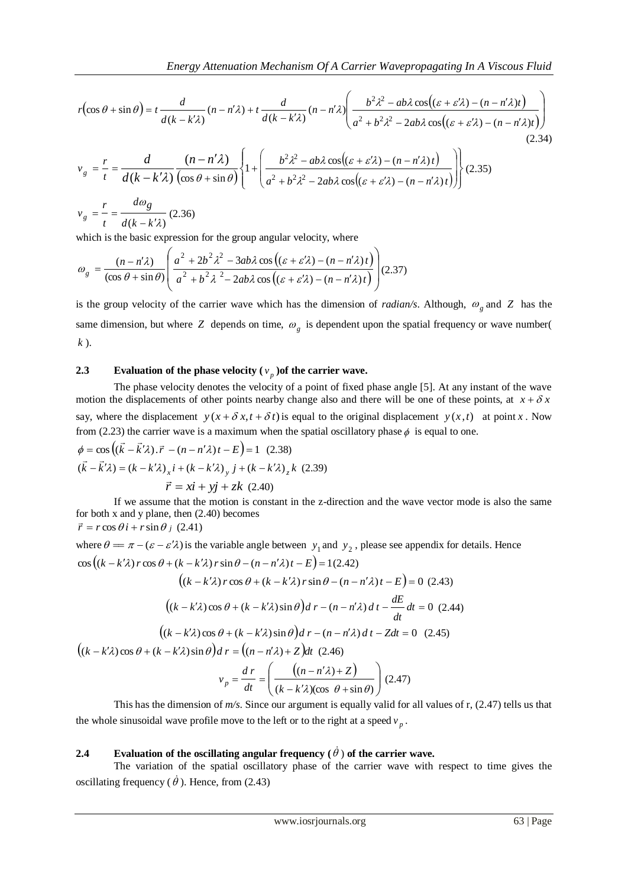$$
r(\cos\theta + \sin\theta) = t \frac{d}{d(k - k'\lambda)}(n - n'\lambda) + t \frac{d}{d(k - k'\lambda)}(n - n'\lambda) \left(\frac{b^2\lambda^2 - ab\lambda\cos((\varepsilon + \varepsilon'\lambda) - (n - n'\lambda)t)}{a^2 + b^2\lambda^2 - 2ab\lambda\cos((\varepsilon + \varepsilon'\lambda) - (n - n'\lambda)t)}\right)
$$
  
(2.34)  

$$
v_g = \frac{r}{t} = \frac{d}{d(k - k'\lambda)}\frac{(n - n'\lambda)}{(\cos\theta + \sin\theta)} \left\{1 + \left(\frac{b^2\lambda^2 - ab\lambda\cos((\varepsilon + \varepsilon'\lambda) - (n - n'\lambda)t)}{a^2 + b^2\lambda^2 - 2ab\lambda\cos((\varepsilon + \varepsilon'\lambda) - (n - n'\lambda)t)}\right)\right\}
$$
(2.35)

$$
v_g = \frac{r}{t} = \frac{d\omega_g}{d(k - k'\lambda)} (2.36)
$$

which is the basic expression for the group angular velocity, where

$$
\omega_{g} = \frac{(n - n'\lambda)}{(\cos\theta + \sin\theta)} \left( \frac{a^2 + 2b^2\lambda^2 - 3ab\lambda\cos\left((\varepsilon + \varepsilon'\lambda) - (n - n'\lambda)t\right)}{a^2 + b^2\lambda^2 - 2ab\lambda\cos\left((\varepsilon + \varepsilon'\lambda) - (n - n'\lambda)t\right)} \right) (2.37)
$$

is the group velocity of the carrier wave which has the dimension of *radian/s*. Although,  $\omega_g$  and Z has the same dimension, but where  $Z$  depends on time,  $\omega_g$  is dependent upon the spatial frequency or wave number( *k* ).

# **2.3** Evaluation of the phase velocity  $(v_p)$  of the carrier wave.

The phase velocity denotes the velocity of a point of fixed phase angle [5]. At any instant of the wave motion the displacements of other points nearby change also and there will be one of these points, at  $x + \delta x$ say, where the displacement  $y(x + \delta x, t + \delta t)$  is equal to the original displacement  $y(x, t)$  at point x. Now from (2.23) the carrier wave is a maximum when the spatial oscillatory phase  $\phi$  is equal to one.

$$
\phi = \cos\left((\vec{k} - \vec{k}\,'\lambda).\vec{r} - (n - n'\lambda)t - E\right) = 1 \quad (2.38)
$$
  

$$
(\vec{k} - \vec{k}\,'\lambda) = (k - k'\lambda)_x i + (k - k'\lambda)_y j + (k - k'\lambda)_z k \quad (2.39)
$$
  

$$
\vec{r} = x\vec{i} + y\vec{j} + zk \quad (2.40)
$$

If we assume that the motion is constant in the z-direction and the wave vector mode is also the same for both x and y plane, then (2.40) becomes  $\vec{r} = r \cos \theta \hat{i} + r \sin \theta \hat{j}$  (2.41)

where 
$$
\theta = \pi - (\varepsilon - \varepsilon'\lambda)
$$
 is the variable angle between  $y_1$  and  $y_2$ , please see appendix for details. Hence  
\n
$$
\cos ((k - k'\lambda) r \cos \theta + (k - k'\lambda) r \sin \theta - (n - n'\lambda)t - E) = 1(2.42)
$$
\n
$$
((k - k'\lambda) r \cos \theta + (k - k'\lambda) r \sin \theta - (n - n'\lambda)t - E) = 0 (2.43)
$$
\n
$$
((k - k'\lambda) \cos \theta + (k - k'\lambda) \sin \theta) d r - (n - n'\lambda) d t - \frac{dE}{dt} dt = 0 (2.44)
$$
\n
$$
((k - k'\lambda) \cos \theta + (k - k'\lambda) \sin \theta) d r - (n - n'\lambda) d t - Z dt = 0 (2.45)
$$
\n
$$
((k - k'\lambda) \cos \theta + (k - k'\lambda) \sin \theta) d r = ((n - n'\lambda) + Z) dt (2.46)
$$
\n
$$
v_p = \frac{d r}{dt} = \left(\frac{((n - n'\lambda) + Z)}{(k - k'\lambda)(\cos \theta + \sin \theta)}\right) (2.47)
$$

This has the dimension of *m/s*. Since our argument is equally valid for all values of r, (2.47) tells us that the whole sinusoidal wave profile move to the left or to the right at a speed  $v_p$ .

## **2.4** Evaluation of the oscillating angular frequency  $(\dot{\theta})$  of the carrier wave.

The variation of the spatial oscillatory phase of the carrier wave with respect to time gives the oscillating frequency ( $\dot{\theta}$ ). Hence, from (2.43)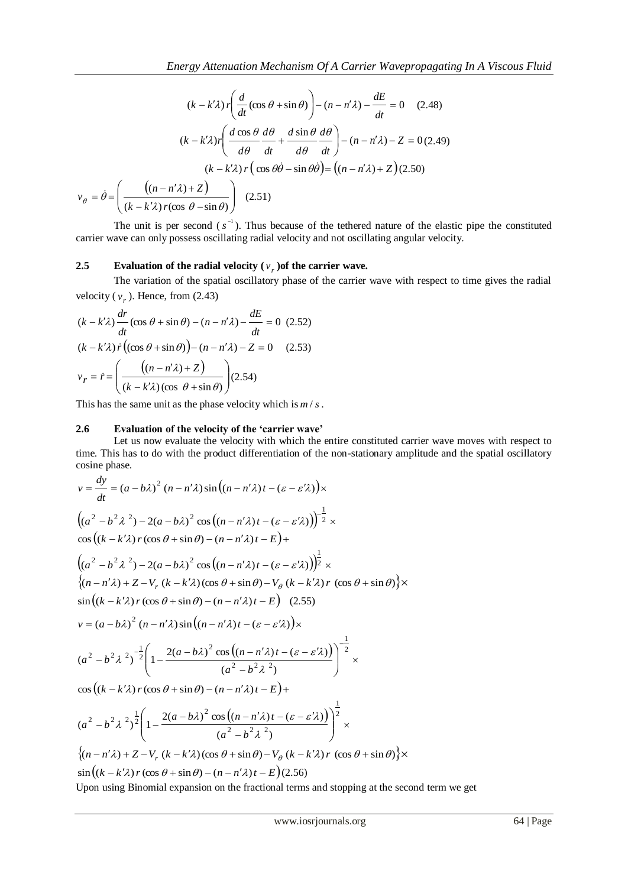$$
(k - k'\lambda) r \left( \frac{d}{dt} (\cos \theta + \sin \theta) \right) - (n - n'\lambda) - \frac{dE}{dt} = 0 \quad (2.48)
$$

$$
(k - k'\lambda) r \left( \frac{d \cos \theta}{d\theta} \frac{d\theta}{dt} + \frac{d \sin \theta}{d\theta} \frac{d\theta}{dt} \right) - (n - n'\lambda) - Z = 0 \quad (2.49)
$$

$$
(k - k'\lambda) r \left( \cos \theta \dot{\theta} - \sin \theta \dot{\theta} \right) = \left( (n - n'\lambda) + Z \right) \quad (2.50)
$$

$$
v_{\theta} = \dot{\theta} = \left( \frac{\left( (n - n'\lambda) + Z \right)}{(k - k'\lambda) r (\cos \theta - \sin \theta)} \right) \quad (2.51)
$$

The unit is per second  $(s^{-1})$ . Thus because of the tethered nature of the elastic pipe the constituted carrier wave can only possess oscillating radial velocity and not oscillating angular velocity.

# **2.5** Evaluation of the radial velocity  $(v_r)$  of the carrier wave.

The variation of the spatial oscillatory phase of the carrier wave with respect to time gives the radial velocity ( $v_r$ ). Hence, from (2.43)

$$
(k - k'\lambda) \frac{dr}{dt} (\cos \theta + \sin \theta) - (n - n'\lambda) - \frac{dE}{dt} = 0
$$
 (2.52)  

$$
(k - k'\lambda) \dot{r} ((\cos \theta + \sin \theta)) - (n - n'\lambda) - Z = 0
$$
 (2.53)  

$$
v_r = \dot{r} = \left(\frac{((n - n'\lambda) + Z)}{(k - k'\lambda)(\cos \theta + \sin \theta)}\right) (2.54)
$$

This has the same unit as the phase velocity which is *m* / *s*.

#### **2.6 Evaluation of the velocity of the 'carrier wave'**

Let us now evaluate the velocity with which the entire constituted carrier wave moves with respect to time. This has to do with the product differentiation of the non-stationary amplitude and the spatial oscillatory cosine phase.

$$
v = \frac{dy}{dt} = (a - b\lambda)^2 (n - n'\lambda) \sin \left((n - n'\lambda)t - (\varepsilon - \varepsilon'\lambda)\right) \times
$$
  
\n
$$
\left((a^2 - b^2\lambda^2) - 2(a - b\lambda)^2 \cos \left((n - n'\lambda)t - (\varepsilon - \varepsilon'\lambda)\right)\right)^{-\frac{1}{2}} \times
$$
  
\n
$$
\cos \left((k - k'\lambda)r(\cos\theta + \sin\theta) - (n - n'\lambda)t - (\varepsilon - \varepsilon'\lambda)\right)^{-\frac{1}{2}} \times
$$
  
\n
$$
\left((a^2 - b^2\lambda^2) - 2(a - b\lambda)^2 \cos \left((n - n'\lambda)t - (\varepsilon - \varepsilon'\lambda)\right)\right)^{\frac{1}{2}} \times
$$
  
\n
$$
\left\{(n - n'\lambda) + Z - V_r (k - k'\lambda)(\cos\theta + \sin\theta) - V_\theta (k - k'\lambda)r (\cos\theta + \sin\theta)\right\} \times
$$
  
\n
$$
\sin \left((k - k'\lambda)r(\cos\theta + \sin\theta) - (n - n'\lambda)t - (\varepsilon - \varepsilon'\lambda)\right) \times
$$
  
\n
$$
(a^2 - b^2\lambda^2)^{-\frac{1}{2}} \left(1 - \frac{2(a - b\lambda)^2 \cos \left((n - n'\lambda)t - (\varepsilon - \varepsilon'\lambda)\right)}{(a^2 - b^2\lambda^2)}\right)^{-\frac{1}{2}} \times
$$
  
\n
$$
\cos \left((k - k'\lambda)r(\cos\theta + \sin\theta) - (n - n'\lambda)t - E\right) +
$$
  
\n
$$
(a^2 - b^2\lambda^2)^{\frac{1}{2}} \left(1 - \frac{2(a - b\lambda)^2 \cos \left((n - n'\lambda)t - (\varepsilon - \varepsilon'\lambda)\right)}{(a^2 - b^2\lambda^2)}\right)^{\frac{1}{2}} \times
$$
  
\n
$$
\left\{(n - n'\lambda) + Z - V_r (k - k'\lambda)(\cos\theta + \sin\theta) - V_\theta (k - k'\lambda)r (\cos\theta + \sin\theta)\right\} \times
$$
  
\n
$$
\sin \left((k - k'\lambda)r(\cos\theta + \sin\theta) - (n - n'\lambda)t - E\right)(2.56)
$$

Upon using Binomial expansion on the fractional terms and stopping at the second term we get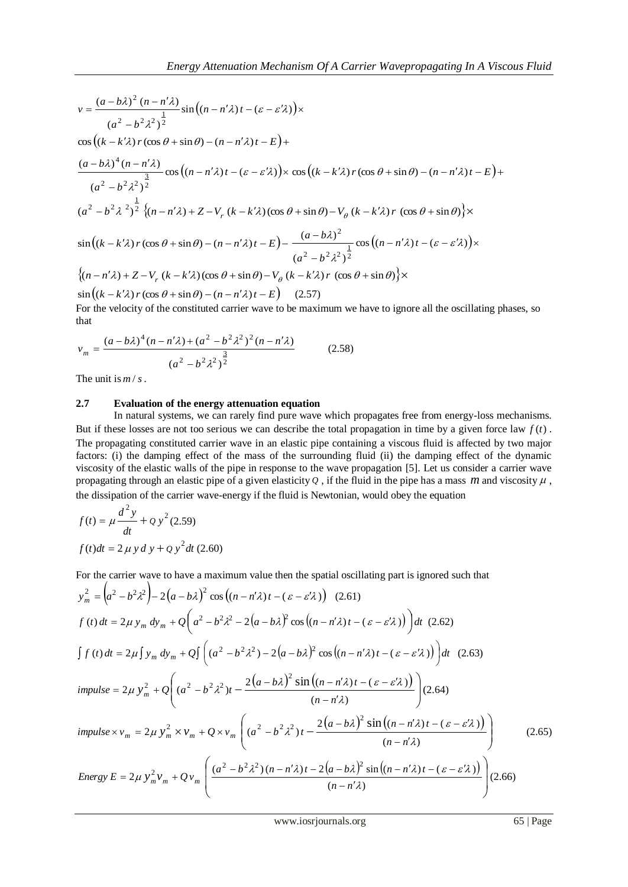$$
v = \frac{(a-b\lambda)^2 (n - n'\lambda)}{(a^2 - b^2 \lambda^2)^{\frac{1}{2}}} \sin\left((n - n'\lambda)t - (\varepsilon - \varepsilon'\lambda)\right) \times
$$
  
\n
$$
\cos\left((k - k'\lambda)r(\cos\theta + \sin\theta) - (n - n'\lambda)t - E\right) +
$$
  
\n
$$
\frac{(a-b\lambda)^4 (n - n'\lambda)}{(a^2 - b^2 \lambda^2)^{\frac{3}{2}}} \cos\left((n - n'\lambda)t - (\varepsilon - \varepsilon'\lambda)\right) \times \cos\left((k - k'\lambda)r(\cos\theta + \sin\theta) - (n - n'\lambda)t - E\right) +
$$
  
\n
$$
(a^2 - b^2 \lambda^2)^{\frac{1}{2}}
$$
  
\n
$$
(a^2 - b^2 \lambda^2)^{\frac{1}{2}} \{(n - n'\lambda) + Z - V_r (k - k'\lambda)(\cos\theta + \sin\theta) - V_\theta (k - k'\lambda)r (\cos\theta + \sin\theta) \} \times
$$
  
\n
$$
\sin\left((k - k'\lambda)r(\cos\theta + \sin\theta) - (n - n'\lambda)t - E\right) - \frac{(a - b\lambda)^2}{(a^2 - b^2 \lambda^2)^{\frac{1}{2}}} \cos\left((n - n'\lambda)t - (\varepsilon - \varepsilon'\lambda)\right) \times
$$
  
\n
$$
\{(n - n'\lambda) + Z - V_r (k - k'\lambda)(\cos\theta + \sin\theta) - V_\theta (k - k'\lambda)r (\cos\theta + \sin\theta) \} \times
$$
  
\n
$$
\sin\left((k - k'\lambda)r(\cos\theta + \sin\theta) - (n - n'\lambda)t - E\right) (2.57)
$$

For the velocity of the constituted carrier wave to be maximum we have to ignore all the oscillating phases, so that

$$
v_m = \frac{(a - b\lambda)^4 (n - n'\lambda) + (a^2 - b^2\lambda^2)^2 (n - n'\lambda)}{(a^2 - b^2\lambda^2)^{\frac{3}{2}}}
$$
(2.58)

The unit is *m* / *s*.

#### **2.7 Evaluation of the energy attenuation equation**

In natural systems, we can rarely find pure wave which propagates free from energy-loss mechanisms. But if these losses are not too serious we can describe the total propagation in time by a given force law  $f(t)$ . The propagating constituted carrier wave in an elastic pipe containing a viscous fluid is affected by two major factors: (i) the damping effect of the mass of the surrounding fluid (ii) the damping effect of the dynamic viscosity of the elastic walls of the pipe in response to the wave propagation [5]. Let us consider a carrier wave propagating through an elastic pipe of a given elasticity  $Q$ , if the fluid in the pipe has a mass  $m$  and viscosity  $\mu$ , the dissipation of the carrier wave-energy if the fluid is Newtonian, would obey the equation

$$
f(t) = \mu \frac{d^2 y}{dt} + Q y^2 (2.59)
$$
  

$$
f(t)dt = 2 \mu y d y + Q y^2 dt (2.60)
$$

For the carrier wave to have a maximum value then the spatial oscillating part is ignored such that

$$
y_m^2 = (a^2 - b^2 \lambda^2) - 2(a - b\lambda)^2 \cos((n - n'\lambda)t - (\varepsilon - \varepsilon'\lambda)) (2.61)
$$
  
\n
$$
f(t) dt = 2\mu y_m dy_m + Q\left(a^2 - b^2 \lambda^2 - 2(a - b\lambda)^2 \cos((n - n'\lambda)t - (\varepsilon - \varepsilon'\lambda))\right) dt (2.62)
$$
  
\n
$$
\int f(t) dt = 2\mu \int y_m dy_m + Q\int \left((a^2 - b^2 \lambda^2) - 2(a - b\lambda)^2 \cos((n - n'\lambda)t - (\varepsilon - \varepsilon'\lambda))\right) dt (2.63)
$$
  
\n
$$
impulse = 2\mu y_m^2 + Q\left((a^2 - b^2 \lambda^2)t - \frac{2(a - b\lambda)^2 \sin((n - n'\lambda)t - (\varepsilon - \varepsilon'\lambda))}{(n - n'\lambda)}\right) (2.64)
$$
  
\n
$$
impulse \times v_m = 2\mu y_m^2 \times v_m + Q \times v_m \left((a^2 - b^2 \lambda^2)t - \frac{2(a - b\lambda)^2 \sin((n - n'\lambda)t - (\varepsilon - \varepsilon'\lambda))}{(n - n'\lambda)}\right) (2.65)
$$
  
\n
$$
Energy E = 2\mu y_m^2 v_m + Qv_m \left(\frac{(a^2 - b^2 \lambda^2)(n - n'\lambda)t - 2(a - b\lambda)^2 \sin((n - n'\lambda)t - (\varepsilon - \varepsilon'\lambda))}{(n - n'\lambda)}\right) (2.66)
$$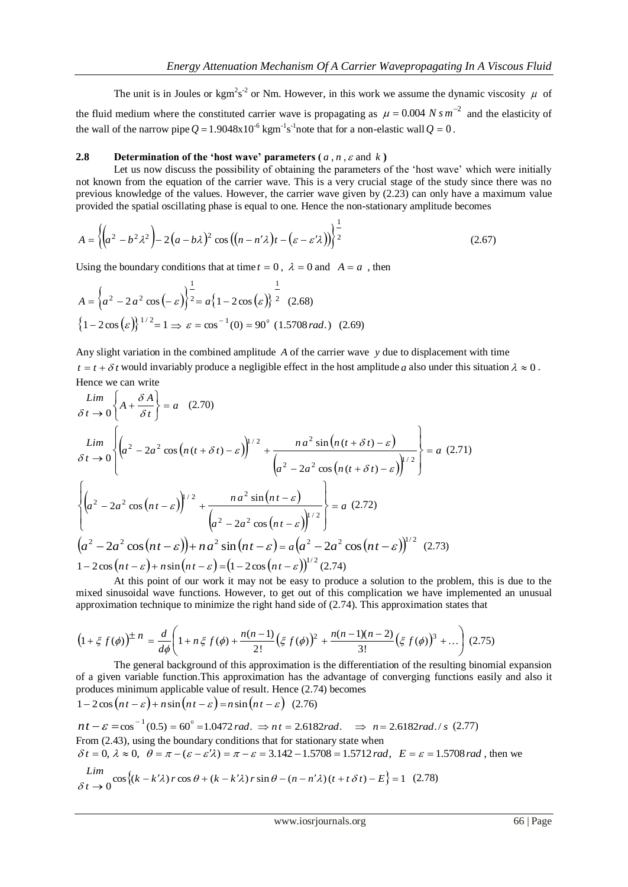The unit is in Joules or kgm<sup>2</sup>s<sup>-2</sup> or Nm. However, in this work we assume the dynamic viscosity  $\mu$  of the fluid medium where the constituted carrier wave is propagating as  $\mu = 0.004 N s m^{-2}$  and the elasticity of the wall of the narrow pipe  $Q = 1.9048 \times 10^{-6}$  kgm<sup>-1</sup>s<sup>-1</sup>note that for a non-elastic wall  $Q = 0$ .

## **2.8 Determination of the 'host wave' parameters (** $a, n, \varepsilon$  **and**  $k$ **)**

Let us now discuss the possibility of obtaining the parameters of the 'host wave' which were initially not known from the equation of the carrier wave. This is a very crucial stage of the study since there was no previous knowledge of the values. However, the carrier wave given by (2.23) can only have a maximum value provided the spatial oscillating phase is equal to one. Hence the non-stationary amplitude becomes

$$
A = \left\{ \left( a^2 - b^2 \lambda^2 \right) - 2 \left( a - b\lambda \right)^2 \cos \left( \left( n - n'\lambda \right) t - \left( \varepsilon - \varepsilon'\lambda \right) \right) \right\}^{\frac{1}{2}} \tag{2.67}
$$

Using the boundary conditions that at time  $t = 0$ ,  $\lambda = 0$  and  $A = a$ , then

$$
A = \left\{ a^2 - 2a^2 \cos(-\varepsilon) \right\}^{\frac{1}{2}} = a \left\{ 1 - 2\cos(\varepsilon) \right\}^{\frac{1}{2}} \quad (2.68)
$$

$$
\left\{ 1 - 2\cos(\varepsilon) \right\}^{1/2} = 1 \Rightarrow \varepsilon = \cos^{-1}(0) = 90^\circ \quad (1.5708 \, rad.) \quad (2.69)
$$

Any slight variation in the combined amplitude A of the carrier wave y due to displacement with time  $t = t + \delta t$  would invariably produce a negligible effect in the host amplitude a also under this situation  $\lambda \approx 0$ . Hence we can write

$$
\begin{aligned}\n\lim_{\delta t \to 0} \left\{ A + \frac{\delta A}{\delta t} \right\} &= a \quad (2.70) \\
\lim_{\delta t \to 0} \left\{ \left( a^2 - 2a^2 \cos \left( n(t + \delta t) - \varepsilon \right) \right)^{1/2} + \frac{n a^2 \sin \left( n(t + \delta t) - \varepsilon \right)}{\left( a^2 - 2a^2 \cos \left( n(t + \delta t) - \varepsilon \right) \right)^{1/2}} \right\} &= a \quad (2.71) \\
\left\{ \left( a^2 - 2a^2 \cos \left( n t - \varepsilon \right) \right)^{1/2} + \frac{n a^2 \sin \left( n t - \varepsilon \right)}{\left( a^2 - 2a^2 \cos \left( n t - \varepsilon \right) \right)^{1/2}} \right\} &= a \quad (2.72) \\
\left( a^2 - 2a^2 \cos \left( n t - \varepsilon \right) \right) + n a^2 \sin \left( n t - \varepsilon \right) &= a \left( a^2 - 2a^2 \cos \left( n t - \varepsilon \right) \right)^{1/2} \quad (2.73) \\
1 - 2 \cos \left( n t - \varepsilon \right) + n \sin \left( n t - \varepsilon \right) &= \left( 1 - 2 \cos \left( n t - \varepsilon \right) \right)^{1/2} (2.74) \\
\text{At this point of our walk it may not be easy to produce a solution to the problem.}\n\end{aligned}
$$

At this point of our work it may not be easy to produce a solution to the problem, this is due to the mixed sinusoidal wave functions. However, to get out of this complication we have implemented an unusual approximation technique to minimize the right hand side of (2.74). This approximation states that

$$
\left(1+\xi f(\phi)\right)^{\pm n} = \frac{d}{d\phi}\left(1+n\xi f(\phi) + \frac{n(n-1)}{2!}\left(\xi f(\phi)\right)^2 + \frac{n(n-1)(n-2)}{3!}\left(\xi f(\phi)\right)^3 + \dots\right)
$$
(2.75)

The general background of this approximation is the differentiation of the resulting binomial expansion of a given variable function.This approximation has the advantage of converging functions easily and also it produces minimum applicable value of result. Hence (2.74) becomes

$$
1 - 2\cos\left(nt - \varepsilon\right) + n\sin\left(nt - \varepsilon\right) = n\sin\left(nt - \varepsilon\right) (2.76)
$$

 $nt - \varepsilon = \cos^{-1}(0.5) = 60^{\circ} = 1.0472$  rad.  $\Rightarrow nt = 2.6182$  rad.  $\Rightarrow n = 2.6182$  rad./ *s* (2.77) From (2.43), using the boundary conditions that for stationary state when  $\delta t = 0$ ,  $\lambda \approx 0$ ,  $\theta = \pi - (\varepsilon - \varepsilon^2 \lambda) = \pi - \varepsilon = 3.142 - 1.5708 = 1.5712$  rad,  $E = \varepsilon = 1.5708$  rad, then we

$$
\lim_{\delta t \to 0} \cos \left\{ (k - k'\lambda) r \cos \theta + (k - k'\lambda) r \sin \theta - (n - n'\lambda) (t + t \delta t) - E \right\} = 1
$$
 (2.78)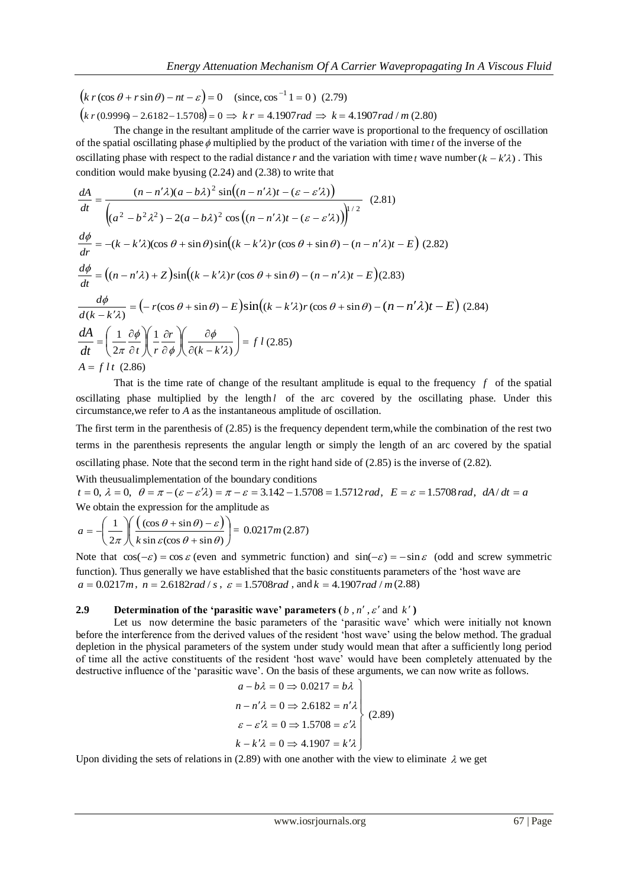$(since, cos<sup>-1</sup> 1 = 0)$  (2.79)

 $(k \, r \, (0.9996 - 2.6182 - 1.5708) = 0 \implies k \, r = 4.1907 \, rad \implies k = 4.1907 \, rad / m \, (2.80)$ 

The change in the resultant amplitude of the carrier wave is proportional to the frequency of oscillation of the spatial oscillating phase  $\phi$  multiplied by the product of the variation with time  $t$  of the inverse of the oscillating phase with respect to the radial distance r and the variation with time t wave number  $(k - k'\lambda)$ . This condition would make byusing (2.24) and (2.38) to write that

$$
(k r(\cos \theta + r \sin \theta) - nt - x) = 0
$$
 (since, cos<sup>-1</sup>1 = 0) (2.79)  
\n
$$
(k r(0.9999 - 2.6182 - 1.5708) = 0 \Rightarrow k r = 4.1907 rad / m (2.80)
$$
\nThe equation of the spatial oscillating phase  $\phi$  multiplied by the product of the variation with time *t* of the inverse of the  
\noscillating phase with respect to the radial distance *r* and the variation with time *t* were number  $(k - k^2)$ . This  
\n
$$
\frac{dA}{dt} = \frac{(n - n^2 \lambda)(a - b\lambda)^2 \sin((n - n^2 \lambda)t - (a - c^2 \lambda))}{\left(\frac{a^2 - b^2 \lambda^2\right) - 2(a - b\lambda)^2 \cos((n - n^2 \lambda)t - (a - c^2 \lambda)\right)^{1/2}}
$$
\n
$$
\frac{d\phi}{dt} = -(k - k^2 \lambda)(\cos \theta + \sin \theta) \sin((k - k^2 \lambda) r \cos \theta + \sin \theta) - (n - n^2 \lambda)t - E) (2.82)
$$
\n
$$
\frac{d\phi}{dt} = -(k - k^2 \lambda)(\cos \theta + \sin \theta) \sin((k - k^2 \lambda) r \cos \theta + \sin \theta) - (n - n^2 \lambda)t - E) (2.83)
$$
\n
$$
\frac{d\phi}{dt} = -(n - n^2 \lambda) + 2 \sin((k - k^2 \lambda) r \cos \theta + \sin \theta) - (n - n^2 \lambda)t - E) (2.82)
$$
\n
$$
\frac{d\phi}{dt} = -(n - n^2 \lambda) + 2 \sin((k - k^2 \lambda) r \cos \theta + \sin \theta) - (n - n^2 \lambda)t - E) (2.84)
$$
\n
$$
\frac{d\phi}{dt} = (n - n^2 \lambda) + \frac{2}{\sqrt{6}} \sin(\lambda - k^2 \lambda) r \cos \theta + \sin \theta) - (n - n^2 \lambda)t - E) (2.84)
$$
\n
$$
\frac{d\phi}{dt} = (n - n^2 \lambda) + 2 \sin((k - k^2 \lambda) r \cos \theta + \sin \theta) - (n - n^2 \lambda)t - E) (2.84)
$$
\n
$$
\frac{
$$

That is the time rate of change of the resultant amplitude is equal to the frequency  $f$  of the spatial oscillating phase multiplied by the length *l* of the arc covered by the oscillating phase. Under this circumstance,we refer to *A* as the instantaneous amplitude of oscillation.

The first term in the parenthesis of (2.85) is the frequency dependent term,while the combination of the rest two terms in the parenthesis represents the angular length or simply the length of an arc covered by the spatial oscillating phase. Note that the second term in the right hand side of (2.85) is the inverse of (2.82).

With theusualimplementation of the boundary conditions

 $t = 0$ ,  $\lambda = 0$ ,  $\theta = \pi - (\varepsilon - \varepsilon^2 \lambda) = \pi - \varepsilon = 3.142 - 1.5708 = 1.5712$  rad,  $E = \varepsilon = 1.5708$  rad,  $dA/dt = a$ We obtain the expression for the amplitude as

$$
a = -\left(\frac{1}{2\pi}\right) \left(\frac{(\cos\theta + \sin\theta) - \varepsilon}{k\sin\varepsilon(\cos\theta + \sin\theta)}\right) = 0.0217m(2.87)
$$

Note that  $cos(-\varepsilon) = cos \varepsilon$  (even and symmetric function) and  $sin(-\varepsilon) = -sin \varepsilon$  (odd and screw symmetric function). Thus generally we have established that the basic constituents parameters of the 'host wave are  $a = 0.0217m$ ,  $n = 2.6182 rad/s$ ,  $\varepsilon = 1.5708 rad$ , and  $k = 4.1907 rad/m(2.88)$ 

#### **2.9 Determination of the 'parasitic wave' parameters**  $(b, n', \varepsilon'$  **and**  $k'$ **)**

Let us now determine the basic parameters of the 'parasitic wave' which were initially not known before the interference from the derived values of the resident 'host wave' using the below method. The gradual depletion in the physical parameters of the system under study would mean that after a sufficiently long period of time all the active constituents of the resident 'host wave' would have been completely attenuated by the destructive influence of the 'parasitic wave'. On the basis of these arguments, we can now write as follows.

$$
a - b\lambda = 0 \Rightarrow 0.0217 = b\lambda
$$
  
\n
$$
n - n'\lambda = 0 \Rightarrow 2.6182 = n'\lambda
$$
  
\n
$$
\varepsilon - \varepsilon'\lambda = 0 \Rightarrow 1.5708 = \varepsilon'\lambda
$$
  
\n
$$
k - k'\lambda = 0 \Rightarrow 4.1907 = k'\lambda
$$
 (2.89)

Upon dividing the sets of relations in (2.89) with one another with the view to eliminate  $\lambda$  we get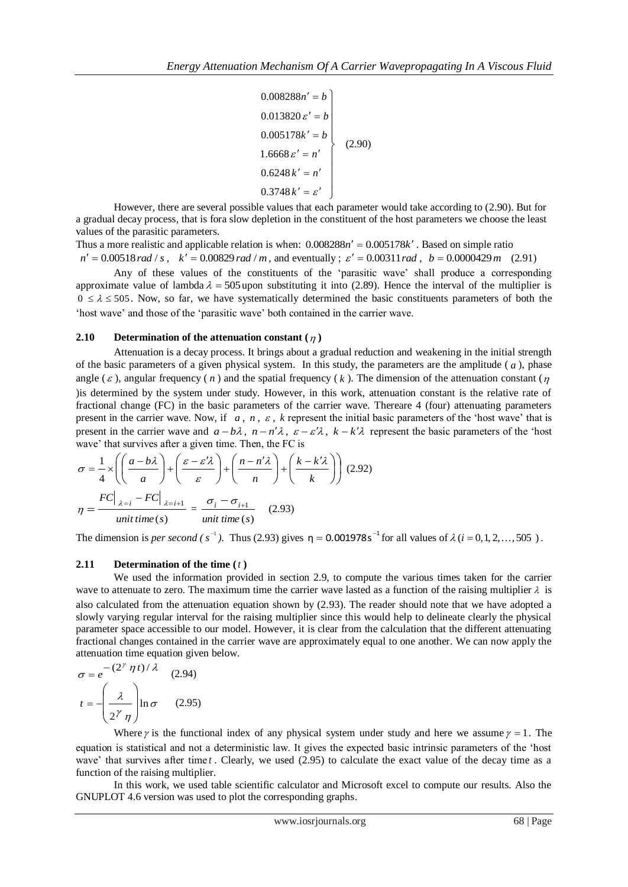$\overline{\phantom{a}}$  $0.6248 k' = n'$  $\overline{\phantom{a}}$ J  $0.005178k' = b$  $\overline{\phantom{a}}$ 0.013820 $\varepsilon' = b$ 1.6668  $\varepsilon' = n'$  $0.008288n' = b$ 0.3748 $k' = \varepsilon'$ (2.90)

However, there are several possible values that each parameter would take according to (2.90). But for a gradual decay process, that is fora slow depletion in the constituent of the host parameters we choose the least values of the parasitic parameters.

Thus a more realistic and applicable relation is when:  $0.008288n' = 0.005178k'$ . Based on simple ratio  $n' = 0.00518$  *rad* / *s*,  $k' = 0.00829$  *rad* / *m*, and eventually ;  $\varepsilon' = 0.00311$  *rad*,  $b = 0.0000429$  *m* (2.91)

Any of these values of the constituents of the 'parasitic wave' shall produce a corresponding approximate value of lambda  $\lambda = 505$  upon substituting it into (2.89). Hence the interval of the multiplier is  $0 \le \lambda \le 505$ . Now, so far, we have systematically determined the basic constituents parameters of both the 'host wave' and those of the 'parasitic wave' both contained in the carrier wave.

#### **2.10 Determination of the attenuation constant**  $(\eta)$

Attenuation is a decay process. It brings about a gradual reduction and weakening in the initial strength of the basic parameters of a given physical system. In this study, the parameters are the amplitude  $(a)$ , phase angle ( $\varepsilon$ ), angular frequency ( $n$ ) and the spatial frequency ( $k$ ). The dimension of the attenuation constant ( $\eta$ )is determined by the system under study. However, in this work, attenuation constant is the relative rate of fractional change (FC) in the basic parameters of the carrier wave. Thereare 4 (four) attenuating parameters present in the carrier wave. Now, if  $a, n, \varepsilon$ ,  $k$  represent the initial basic parameters of the 'host wave' that is present in the carrier wave and  $a - b\lambda$ ,  $n - n'\lambda$ ,  $\varepsilon - \varepsilon'\lambda$ ,  $k - k'\lambda$  represent the basic parameters of the 'host wave' that survives after a given time. Then, the FC is

$$
\sigma = \frac{1}{4} \times \left( \left( \frac{a - b\lambda}{a} \right) + \left( \frac{\varepsilon - \varepsilon'\lambda}{\varepsilon} \right) + \left( \frac{n - n'\lambda}{n} \right) + \left( \frac{k - k'\lambda}{k} \right) \right) (2.92)
$$

$$
\eta = \frac{FC \big|_{\lambda = i} - FC \big|_{\lambda = i + 1}}{unit \, time \, (s)} = \frac{\sigma_i - \sigma_{i + 1}}{unit \, time \, (s)} \quad (2.93)
$$

The dimension is *per second* ( $s^{-1}$ ). Thus (2.93) gives  $\eta = 0.001978s^{-1}$  for all values of  $\lambda$  ( $i = 0, 1, 2, ..., 505$ ).

#### **2.11 Determination of the time (** *t* **)**

We used the information provided in section 2.9, to compute the various times taken for the carrier wave to attenuate to zero. The maximum time the carrier wave lasted as a function of the raising multiplier  $\lambda$  is also calculated from the attenuation equation shown by (2.93). The reader should note that we have adopted a slowly varying regular interval for the raising multiplier since this would help to delineate clearly the physical parameter space accessible to our model. However, it is clear from the calculation that the different attenuating fractional changes contained in the carrier wave are approximately equal to one another. We can now apply the attenuation time equation given below.

$$
\sigma = e^{-(2^{\gamma} \eta t)/\lambda}
$$
 (2.94)  

$$
t = -\left(\frac{\lambda}{2^{\gamma} \eta}\right) \ln \sigma
$$
 (2.95)

Where  $\gamma$  is the functional index of any physical system under study and here we assume  $\gamma = 1$ . The equation is statistical and not a deterministic law. It gives the expected basic intrinsic parameters of the 'host wave' that survives after time *t*. Clearly, we used (2.95) to calculate the exact value of the decay time as a function of the raising multiplier.

In this work, we used table scientific calculator and Microsoft excel to compute our results. Also the GNUPLOT 4.6 version was used to plot the corresponding graphs.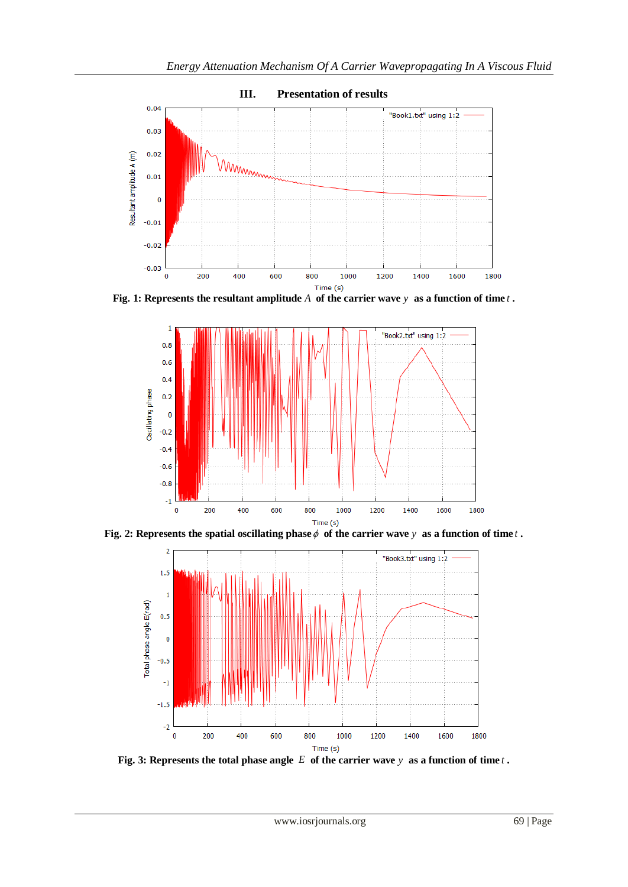

Fig. 1: Represents the resultant amplitude A of the carrier wave y as a function of time  $t$ .



Fig. 2: Represents the spatial oscillating phase  $\phi$  of the carrier wave y as a function of time t **.** 



Fig. 3: Represents the total phase angle E of the carrier wave y as a function of time t.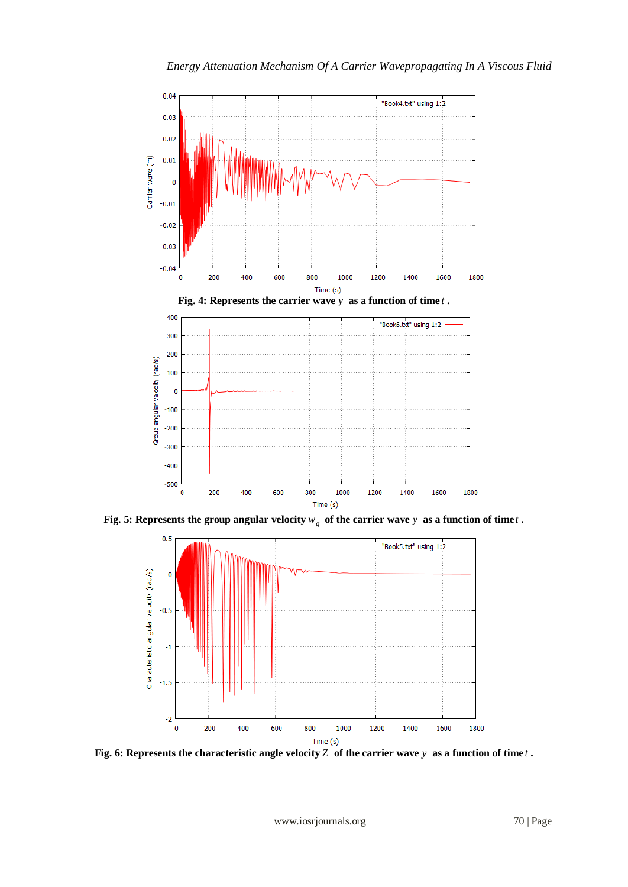

**Fig. 5: Represents the group angular velocity**  $w_g$  **of the carrier wave**  $y$  **as a function of time**  $t$ **.** 



Fig. 6: Represents the characteristic angle velocity Z  $\sigma$  f the carrier wave  $y$  as a function of time  $t$ .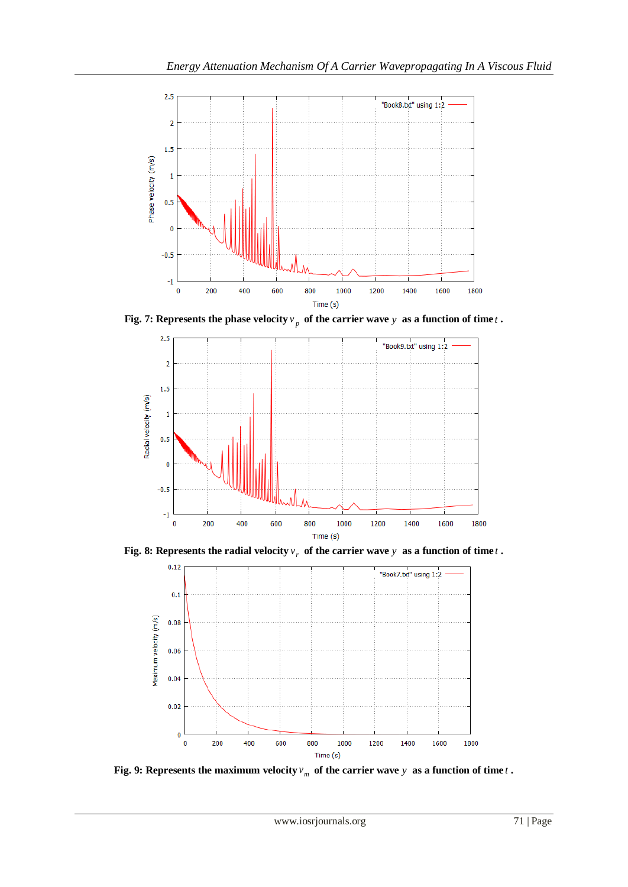

Fig. 7: Represents the phase velocity  $v_p$  of the carrier wave y as a function of time t.



Fig. 8: Represents the radial velocity  $v_r$  of the carrier wave  $y$  as a function of time  $t$  **.** 



Fig. 9: Represents the maximum velocity  $v_m$  of the carrier wave  $y$  as a function of time  $t$  **.**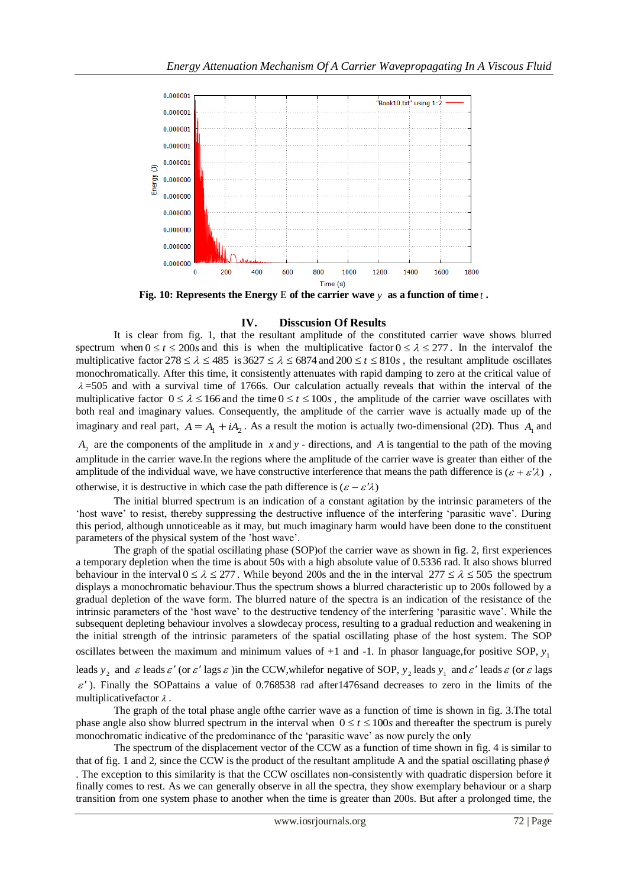

**Fig. 10: Represents the Energy** E **of the carrier wave** *y* **as a function of time** *t* **.**

## **IV. Disscusion Of Results**

It is clear from fig. 1, that the resultant amplitude of the constituted carrier wave shows blurred spectrum when  $0 \le t \le 200s$  and this is when the multiplicative factor  $0 \le \lambda \le 277$ . In the interval of the multiplicative factor  $278 \le \lambda \le 485$  is  $3627 \le \lambda \le 6874$  and  $200 \le t \le 810s$ , the resultant amplitude oscillates monochromatically. After this time, it consistently attenuates with rapid damping to zero at the critical value of  $\lambda$  =505 and with a survival time of 1766s. Our calculation actually reveals that within the interval of the multiplicative factor  $0 \le \lambda \le 166$  and the time  $0 \le t \le 100$ *s*, the amplitude of the carrier wave oscillates with both real and imaginary values. Consequently, the amplitude of the carrier wave is actually made up of the imaginary and real part,  $A = A_1 + iA_2$ . As a result the motion is actually two-dimensional (2D). Thus  $A_1$  and

 $A_2$  are the components of the amplitude in x and y - directions, and A is tangential to the path of the moving amplitude in the carrier wave.In the regions where the amplitude of the carrier wave is greater than either of the amplitude of the individual wave, we have constructive interference that means the path difference is  $(\varepsilon + \varepsilon' \lambda)$ , otherwise, it is destructive in which case the path difference is  $(\varepsilon - \varepsilon' \lambda)$ 

The initial blurred spectrum is an indication of a constant agitation by the intrinsic parameters of the 'host wave' to resist, thereby suppressing the destructive influence of the interfering 'parasitic wave'. During this period, although unnoticeable as it may, but much imaginary harm would have been done to the constituent parameters of the physical system of the 'host wave'.

The graph of the spatial oscillating phase (SOP)of the carrier wave as shown in fig. 2, first experiences a temporary depletion when the time is about 50s with a high absolute value of 0.5336 rad. It also shows blurred behaviour in the interval  $0 \le \lambda \le 277$ . While beyond 200s and the in the interval  $277 \le \lambda \le 505$  the spectrum displays a monochromatic behaviour.Thus the spectrum shows a blurred characteristic up to 200s followed by a gradual depletion of the wave form. The blurred nature of the spectra is an indication of the resistance of the intrinsic parameters of the 'host wave' to the destructive tendency of the interfering 'parasitic wave'. While the subsequent depleting behaviour involves a slowdecay process, resulting to a gradual reduction and weakening in the initial strength of the intrinsic parameters of the spatial oscillating phase of the host system. The SOP oscillates between the maximum and minimum values of +1 and -1. In phasor language,for positive SOP, 1 *y* leads  $y_2$  and  $\varepsilon$  leads  $\varepsilon'$  (or  $\varepsilon'$  lags  $\varepsilon$  ) in the CCW, whilefor negative of SOP,  $y_2$  leads  $y_1$  and  $\varepsilon'$  leads  $\varepsilon$  (or  $\varepsilon$  lags  $\varepsilon'$ ). Finally the SOPattains a value of 0.768538 rad after1476sand decreases to zero in the limits of the

multiplicativefactor  $\lambda$ . The graph of the total phase angle ofthe carrier wave as a function of time is shown in fig. 3.The total phase angle also show blurred spectrum in the interval when  $0 \le t \le 100$ *s* and thereafter the spectrum is purely monochromatic indicative of the predominance of the 'parasitic wave' as now purely the only

The spectrum of the displacement vector of the CCW as a function of time shown in fig. 4 is similar to that of fig. 1 and 2, since the CCW is the product of the resultant amplitude A and the spatial oscillating phase  $\phi$ . The exception to this similarity is that the CCW oscillates non-consistently with quadratic dispersion before it finally comes to rest. As we can generally observe in all the spectra, they show exemplary behaviour or a sharp transition from one system phase to another when the time is greater than 200s. But after a prolonged time, the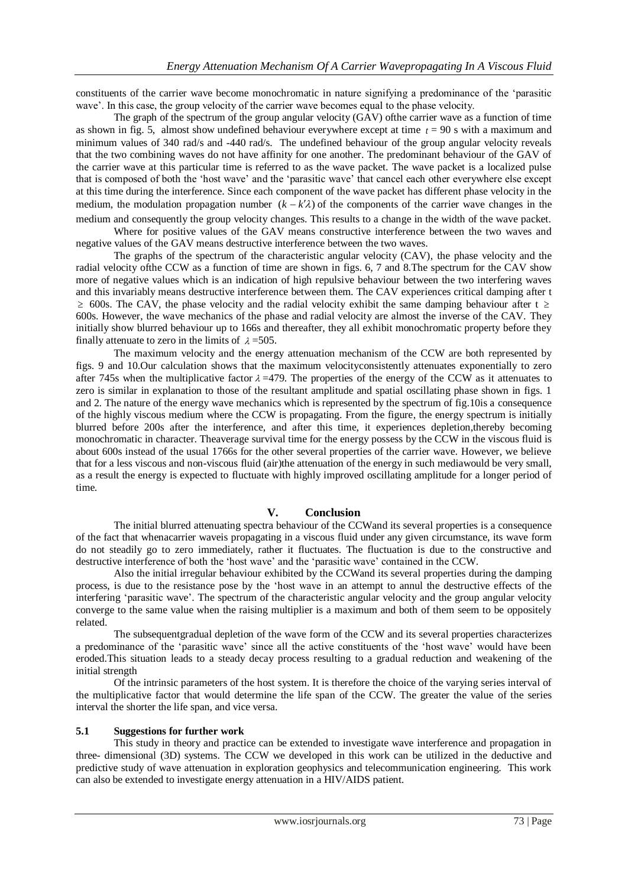constituents of the carrier wave become monochromatic in nature signifying a predominance of the 'parasitic wave'. In this case, the group velocity of the carrier wave becomes equal to the phase velocity.

The graph of the spectrum of the group angular velocity (GAV) ofthe carrier wave as a function of time as shown in fig. 5, almost show undefined behaviour everywhere except at time  $t = 90$  s with a maximum and minimum values of 340 rad/s and -440 rad/s. The undefined behaviour of the group angular velocity reveals that the two combining waves do not have affinity for one another. The predominant behaviour of the GAV of the carrier wave at this particular time is referred to as the wave packet. The wave packet is a localized pulse that is composed of both the 'host wave' and the 'parasitic wave' that cancel each other everywhere else except at this time during the interference. Since each component of the wave packet has different phase velocity in the medium, the modulation propagation number  $(k - k'\lambda)$  of the components of the carrier wave changes in the medium and consequently the group velocity changes. This results to a change in the width of the wave packet.

Where for positive values of the GAV means constructive interference between the two waves and negative values of the GAV means destructive interference between the two waves.

The graphs of the spectrum of the characteristic angular velocity (CAV), the phase velocity and the radial velocity ofthe CCW as a function of time are shown in figs. 6, 7 and 8.The spectrum for the CAV show more of negative values which is an indication of high repulsive behaviour between the two interfering waves and this invariably means destructive interference between them. The CAV experiences critical damping after t  $\geq$  600s. The CAV, the phase velocity and the radial velocity exhibit the same damping behaviour after t  $\geq$ 600s. However, the wave mechanics of the phase and radial velocity are almost the inverse of the CAV. They initially show blurred behaviour up to 166s and thereafter, they all exhibit monochromatic property before they finally attenuate to zero in the limits of  $\lambda = 505$ .

The maximum velocity and the energy attenuation mechanism of the CCW are both represented by figs. 9 and 10.Our calculation shows that the maximum velocityconsistently attenuates exponentially to zero after 745s when the multiplicative factor  $\lambda = 479$ . The properties of the energy of the CCW as it attenuates to zero is similar in explanation to those of the resultant amplitude and spatial oscillating phase shown in figs. 1 and 2. The nature of the energy wave mechanics which is represented by the spectrum of fig.10is a consequence of the highly viscous medium where the CCW is propagating. From the figure, the energy spectrum is initially blurred before 200s after the interference, and after this time, it experiences depletion,thereby becoming monochromatic in character. Theaverage survival time for the energy possess by the CCW in the viscous fluid is about 600s instead of the usual 1766s for the other several properties of the carrier wave. However, we believe that for a less viscous and non-viscous fluid (air)the attenuation of the energy in such mediawould be very small, as a result the energy is expected to fluctuate with highly improved oscillating amplitude for a longer period of time.

## **V. Conclusion**

The initial blurred attenuating spectra behaviour of the CCWand its several properties is a consequence of the fact that whenacarrier waveis propagating in a viscous fluid under any given circumstance, its wave form do not steadily go to zero immediately, rather it fluctuates. The fluctuation is due to the constructive and destructive interference of both the 'host wave' and the 'parasitic wave' contained in the CCW.

Also the initial irregular behaviour exhibited by the CCWand its several properties during the damping process, is due to the resistance pose by the 'host wave in an attempt to annul the destructive effects of the interfering 'parasitic wave'. The spectrum of the characteristic angular velocity and the group angular velocity converge to the same value when the raising multiplier is a maximum and both of them seem to be oppositely related.

The subsequentgradual depletion of the wave form of the CCW and its several properties characterizes a predominance of the 'parasitic wave' since all the active constituents of the 'host wave' would have been eroded.This situation leads to a steady decay process resulting to a gradual reduction and weakening of the initial strength

Of the intrinsic parameters of the host system. It is therefore the choice of the varying series interval of the multiplicative factor that would determine the life span of the CCW. The greater the value of the series interval the shorter the life span, and vice versa.

#### **5.1 Suggestions for further work**

This study in theory and practice can be extended to investigate wave interference and propagation in three- dimensional (3D) systems. The CCW we developed in this work can be utilized in the deductive and predictive study of wave attenuation in exploration geophysics and telecommunication engineering. This work can also be extended to investigate energy attenuation in a HIV/AIDS patient.